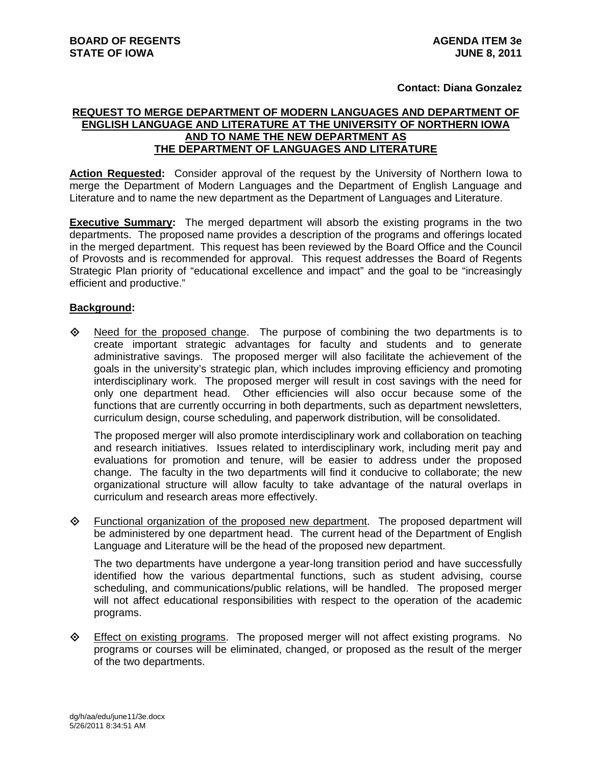## **Contact: Diana Gonzalez**

## **REQUEST TO MERGE DEPARTMENT OF MODERN LANGUAGES AND DEPARTMENT OF ENGLISH LANGUAGE AND LITERATURE AT THE UNIVERSITY OF NORTHERN IOWA AND TO NAME THE NEW DEPARTMENT AS THE DEPARTMENT OF LANGUAGES AND LITERATURE**

**Action Requested:** Consider approval of the request by the University of Northern Iowa to merge the Department of Modern Languages and the Department of English Language and Literature and to name the new department as the Department of Languages and Literature.

**Executive Summary:** The merged department will absorb the existing programs in the two departments. The proposed name provides a description of the programs and offerings located in the merged department. This request has been reviewed by the Board Office and the Council of Provosts and is recommended for approval. This request addresses the Board of Regents Strategic Plan priority of "educational excellence and impact" and the goal to be "increasingly efficient and productive."

## **Background:**

 $\Diamond$  Need for the proposed change. The purpose of combining the two departments is to create important strategic advantages for faculty and students and to generate administrative savings. The proposed merger will also facilitate the achievement of the goals in the university's strategic plan, which includes improving efficiency and promoting interdisciplinary work. The proposed merger will result in cost savings with the need for only one department head. Other efficiencies will also occur because some of the functions that are currently occurring in both departments, such as department newsletters, curriculum design, course scheduling, and paperwork distribution, will be consolidated.

The proposed merger will also promote interdisciplinary work and collaboration on teaching and research initiatives. Issues related to interdisciplinary work, including merit pay and evaluations for promotion and tenure, will be easier to address under the proposed change. The faculty in the two departments will find it conducive to collaborate; the new organizational structure will allow faculty to take advantage of the natural overlaps in curriculum and research areas more effectively.

 Functional organization of the proposed new department. The proposed department will be administered by one department head. The current head of the Department of English Language and Literature will be the head of the proposed new department.

The two departments have undergone a year-long transition period and have successfully identified how the various departmental functions, such as student advising, course scheduling, and communications/public relations, will be handled. The proposed merger will not affect educational responsibilities with respect to the operation of the academic programs.

**Effect on existing programs.** The proposed merger will not affect existing programs. No programs or courses will be eliminated, changed, or proposed as the result of the merger of the two departments.